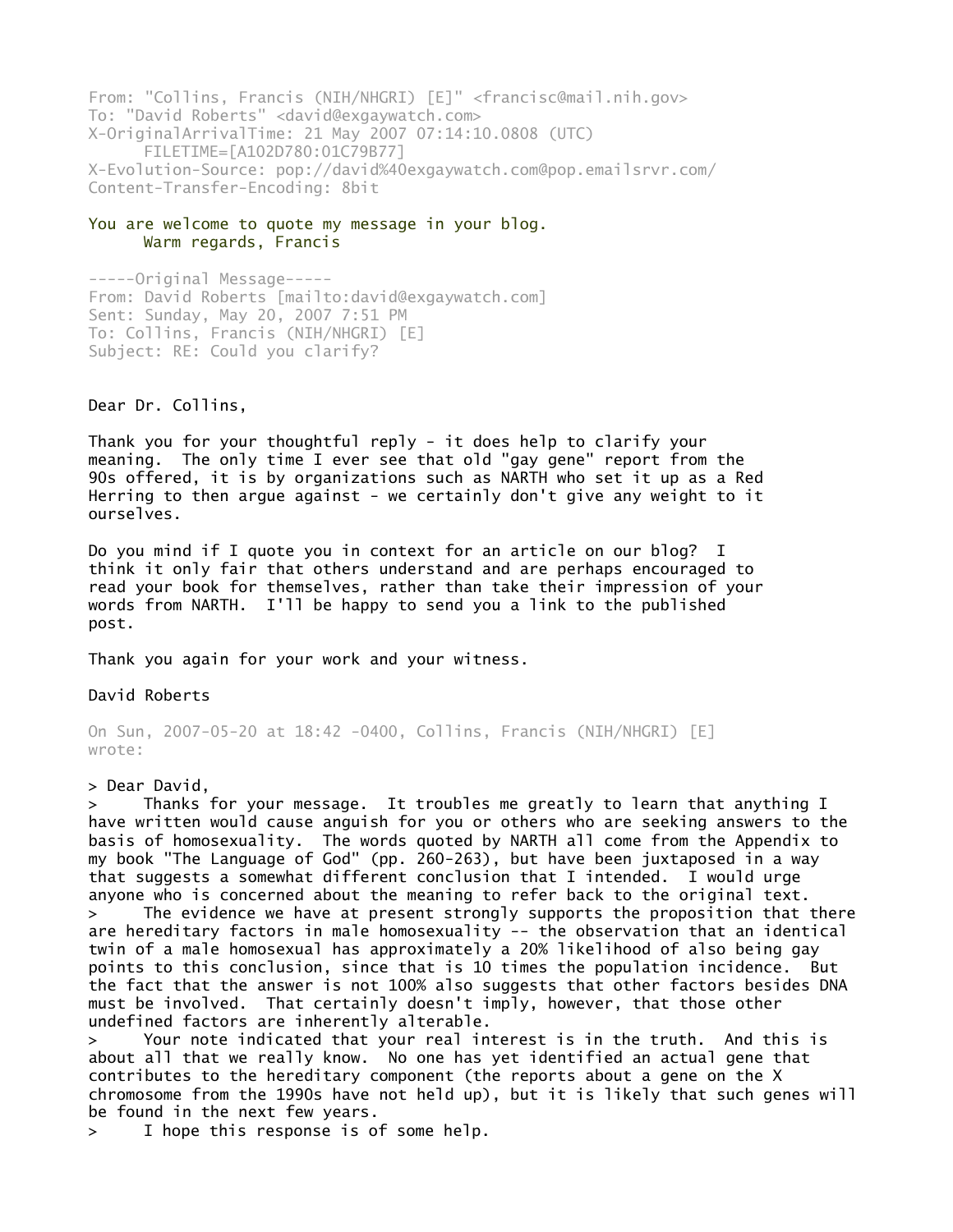From: "Collins, Francis (NIH/NHGRI) [E]" <francisc@mail.nih.gov> To: "David Roberts" <david@exgaywatch.com> X-OriginalArrivalTime: 21 May 2007 07:14:10.0808 (UTC) FILETIME=[A102D780:01C79B77] X-Evolution-Source: pop://david%40exgaywatch.com@pop.emailsrvr.com/ Content-Transfer-Encoding: 8bit From: "Collins, Francis (N<br>To: "David Roberts" <david<br>X-OriginalArrivalTime: 21<br>FILETIME=[A102D780:0<br>X-Evolution-Source: pop://<br>Content-Transfer-Encoding:<br>**You are welcome to quote m<br>Warm regards, Franci**<br>-----Original Mes From: "Collins, F<br>To: "David Robert<br>X-OriginalArrival<br>FILETIME=[A<br>X-Evolution-Sourc<br>Content-Transfer-<br>**You are welcome t**<br>Warm regard<br>-----Original Mes<br>From: David Rober<br>Sent: Sunday, May<br>To: Collins, Fran<br>Subject: RE: Cou From: "Collins, Francis (NIH/NHGRI) [E]" <francisc@mail.nih.gov><br>
To: "David Roberts" <david@exgaywatch.com><br>
X-OriginalArrivalTime: 21 May 2007 07:14:10.0808 (UTC)<br>
FILETIME=[A01027800:01C79877]<br>
X-Evolution-Source: pop:/ From: "Collins, Francis (NIH/NHGRI) [E]" <francisc@mail.nih.gov><br>To: "David Roberts" <david@exgaywatch.com><br>X-OriginalArrivalTime: 21 May 2007 07:14:10.0808 (UTC)<br>FILETIME=[A102D780:01C79B77]<br>X-Evolution-Source: pop://davi From: "Collins, Francis (NIH/NHGRI) [E]" <franci<br>
70: "David Roberts" <david@exgaywatch.com><br>
X-OriginalArrivalTime: 21 May 2007<br>
FLETIME=[A102D780:01C79877]<br>
X-Evolution-Source: pop://david%40exgaywatch.com<br>
Content-Trans From: "Collin<br>To: "David Ro<br>X-OriginalArr<br>FILETIM<br>X-Evolution-S<br>Content-Trans<br>You are welco<br>Warm re<br>-----Original<br>From: David R<br>Sent: Sunday,<br>To: Collins,<br>Subject: RE:<br>Dear Dr. Coll<br>Thank you for<br>meaning. The<br>90s offered,<br> From: "Collin<br>To: "David Ro<br>X-OriginalArr<br>FILETIM<br>X-Evolution-S<br>Content-Trans<br>You are welco<br>Warm re<br>-----Original<br>From: David R<br>Sent: Sunday,<br>To: Collins,<br>Subject: RE:<br>Dear Dr. Coll<br>Thank you for<br>meaning. The<br>90s offered,<br>

## You are welcome to quote my message in your blog. Warm regards, Francis

From: David Roberts [mailto:david@exgaywatch.com] Sent: Sunday, May 20, 2007 7:51 PM To: Collins, Francis (NIH/NHGRI) [E] Subject: RE: Could you clarify?

meaning. The only time I ever see that old "gay gene" report from the 90s offered, it is by organizations such as NARTH who set it up as a Red Herring to then argue against - we certainly don't give any weight to it ourselves.

think it only fair that others understand and are perhaps encouraged to read your book for themselves, rather than take their impression of your words from NARTH. I'll be happy to send you a link to the published post.

On Sun, 2007-05-20 at 18:42 -0400, Collins, Francis (NIH/NHGRI) [E] wrote:

Thanks for your message. It troubles me greatly to learn that anything I have written would cause anguish for you or others who are seeking answers to the basis of homosexuality. The words quoted by NARTH all come from the Appendix to my book "The Language of God" (pp. 260-263), but have been juxtaposed in a way that suggests a somewhat different conclusion that I intended. I would urge anyone who is concerned about the meaning to refer back to the original text. > The evidence we have at present strongly supports the proposition that there are hereditary factors in male homosexuality -- the observation that an identical twin of a male homosexual has approximately a 20% likelihood of also being gay points to this conclusion, since that is 10 times the population incidence. But the fact that the answer is not 100% also suggests that other factors besides DNA must be involved. That certainly doesn't imply, however, that those other undefined factors are inherently alterable.

> Your note indicated that your real interest is in the truth. And this is about all that we really know. No one has yet identified an actual gene that contributes to the hereditary component (the reports about a gene on the X chromosome from the 1990s have not held up), but it is likely that such genes will be found in the next few years.

I hope this response is of some help.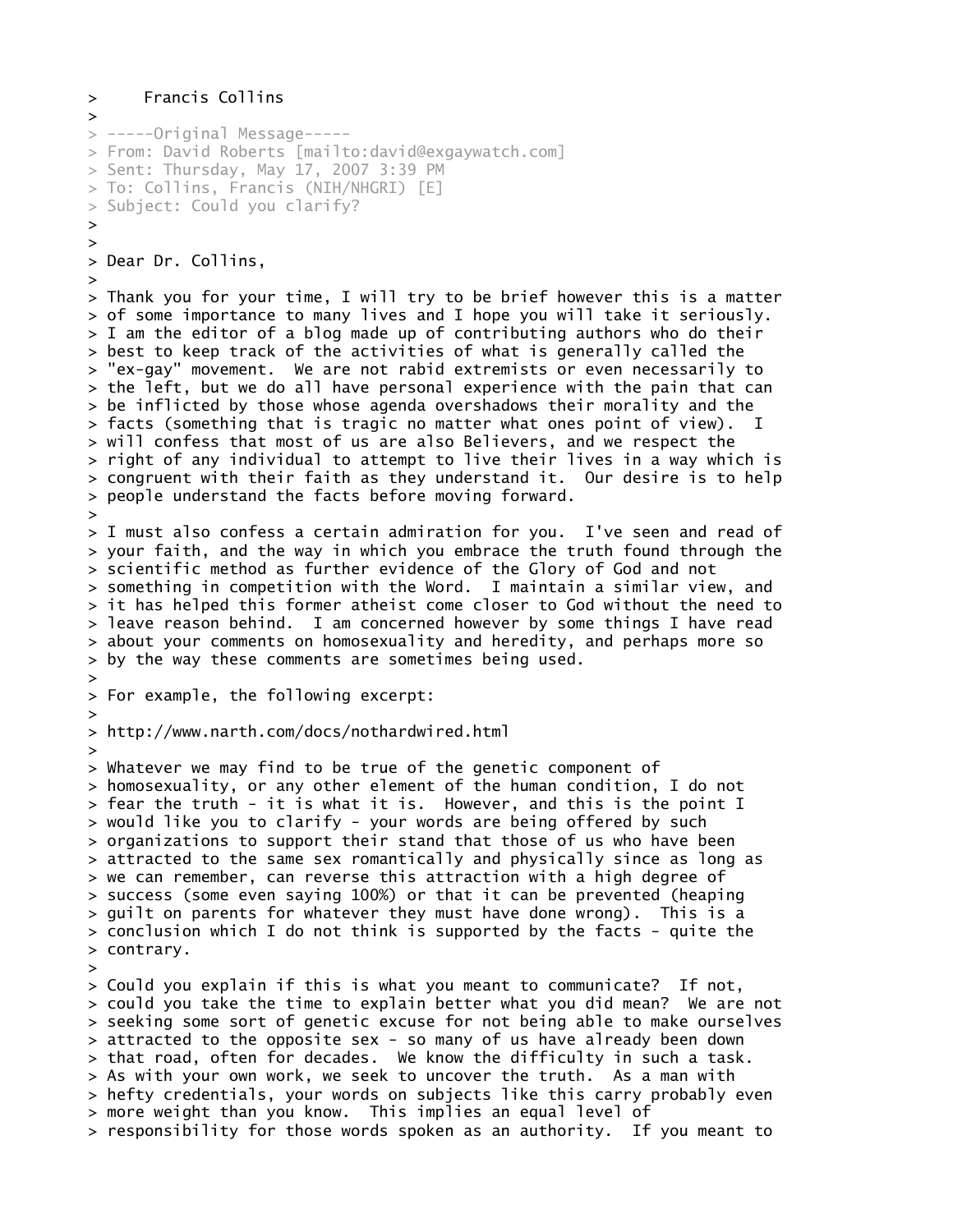```
> Francis Collins
> 
> -----Original Message-----
> From: David Roberts [mailto:david@exgaywatch.com]
> Sent: Thursday, May 17, 2007 3:39 PM
> To: Collins, Francis (NIH/NHGRI) [E]
> Subject: Could you clarify?
> 
> 
> Dear Dr. Collins,
> 
> Thank you for your time, I will try to be brief however this is a matter
> of some importance to many lives and I hope you will take it seriously.
> I am the editor of a blog made up of contributing authors who do their
> best to keep track of the activities of what is generally called the
> "ex-gay" movement. We are not rabid extremists or even necessarily to
> the left, but we do all have personal experience with the pain that can
> be inflicted by those whose agenda overshadows their morality and the
> facts (something that is tragic no matter what ones point of view). I
> will confess that most of us are also Believers, and we respect the
> right of any individual to attempt to live their lives in a way which is
> congruent with their faith as they understand it. Our desire is to help
> people understand the facts before moving forward.
> 
> I must also confess a certain admiration for you. I've seen and read of
> your faith, and the way in which you embrace the truth found through the
> scientific method as further evidence of the Glory of God and not
> something in competition with the Word. I maintain a similar view, and
> it has helped this former atheist come closer to God without the need to
> leave reason behind. I am concerned however by some things I have read
> about your comments on homosexuality and heredity, and perhaps more so
> by the way these comments are sometimes being used. 
> 
> For example, the following excerpt:
> 
> http://www.narth.com/docs/nothardwired.html
> 
> Whatever we may find to be true of the genetic component of
> homosexuality, or any other element of the human condition, I do not
> fear the truth - it is what it is. However, and this is the point I
> would like you to clarify - your words are being offered by such
> organizations to support their stand that those of us who have been
> attracted to the same sex romantically and physically since as long as
> we can remember, can reverse this attraction with a high degree of
> success (some even saying 100%) or that it can be prevented (heaping
> guilt on parents for whatever they must have done wrong). This is a
> conclusion which I do not think is supported by the facts - quite the
> contrary. 
> 
> Could you explain if this is what you meant to communicate? If not,
> could you take the time to explain better what you did mean? We are not
> seeking some sort of genetic excuse for not being able to make ourselves
> attracted to the opposite sex - so many of us have already been down
> that road, often for decades. We know the difficulty in such a task.
> As with your own work, we seek to uncover the truth. As a man with
> hefty credentials, your words on subjects like this carry probably even
> more weight than you know. This implies an equal level of
> responsibility for those words spoken as an authority. If you meant to
```